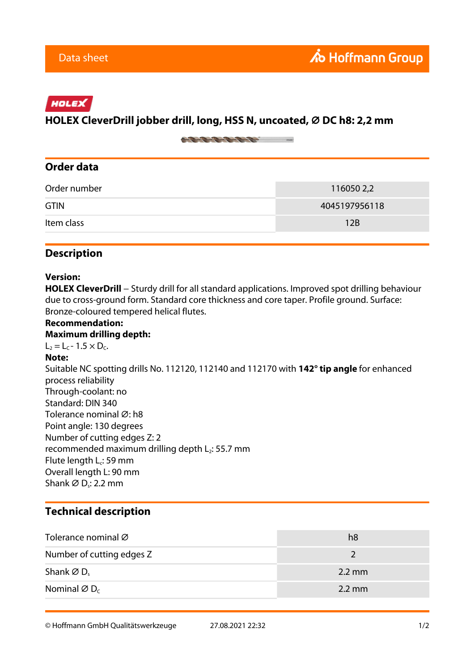# HOLEX

### **HOLEX CleverDrill jobber drill, long, HSS N, uncoated, ⌀ DC h8: 2,2 mm**

on the top the first many

## **Order data**

| 116050 2,2    |
|---------------|
| 4045197956118 |
| 12B           |
|               |

### **Description**

#### **Version:**

HOLEX CleverDrill − Sturdy drill for all standard applications. Improved spot drilling behaviour due to cross-ground form. Standard core thickness and core taper. Profile ground. Surface: Bronze-coloured tempered helical flutes.

#### **Recommendation: Maximum drilling depth:**  $L_2 = L_C - 1.5 \times D_C$ . **Note:** Suitable NC spotting drills No. 112120, 112140 and 112170 with **142° tip angle** for enhanced process reliability Through-coolant: no Standard: DIN 340 Tolerance nominal Ø: h8 Point angle: 130 degrees Number of cutting edges Z: 2 recommended maximum drilling depth  $L_2$ : 55.7 mm Flute length L<sub>c</sub>: 59 mm Overall length L: 90 mm Shank ∅ D<sub>s</sub>: 2.2 mm

# **Technical description**

| Tolerance nominal Ø                  | h8               |
|--------------------------------------|------------------|
| Number of cutting edges Z            |                  |
| Shank $\varnothing$ D <sub>s</sub>   | $2.2 \text{ mm}$ |
| Nominal $\varnothing$ D <sub>c</sub> | $2.2 \text{ mm}$ |

© Hoffmann GmbH Qualitätswerkzeuge 27.08.2021 22:32 1/2